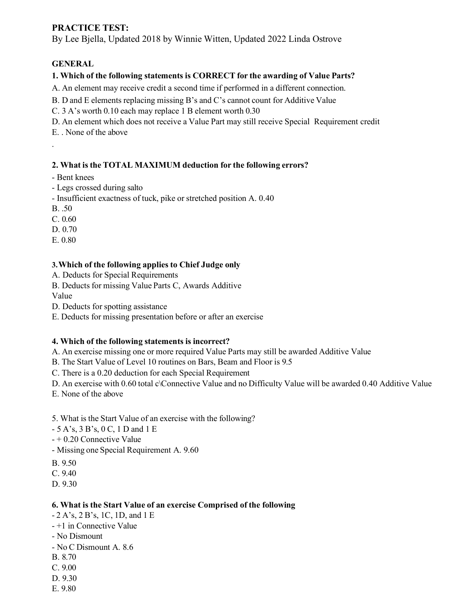### **PRACTICE TEST:**

By Lee Bjella, Updated 2018 by Winnie Witten, Updated 2022 Linda Ostrove

### **GENERAL**

#### **1. Which of the following statements is CORRECT for the awarding of Value Parts?**

A. An element may receive credit a second time if performed in a different connection.

B. D and E elements replacing missing B's and C's cannot count for Additive Value

C. 3 A's worth 0.10 each may replace 1 B element worth 0.30

D. An element which does not receive a Value Part may still receive Special Requirement credit

E. . None of the above

#### **2. What is the TOTAL MAXIMUM deduction for the following errors?**

- Bent knees

- Legs crossed during salto
- Insufficient exactness of tuck, pike or stretched position A. 0.40
- B. .50

.

C. 0.60

D. 0.70

E. 0.80

#### **3.Which of the following applies to Chief Judge only**

A. Deducts for Special Requirements

B. Deducts for missing Value Parts C, Awards Additive

Value

D. Deducts for spotting assistance

E. Deducts for missing presentation before or after an exercise

### **4. Which of the following statements is incorrect?**

A. An exercise missing one or more required Value Parts may still be awarded Additive Value

B. The Start Value of Level 10 routines on Bars, Beam and Floor is 9.5

C. There is a 0.20 deduction for each Special Requirement

D. An exercise with 0.60 total c\Connective Value and no Difficulty Value will be awarded 0.40 Additive Value

E. None of the above

5. What is the Start Value of an exercise with the following?

- 5 A's, 3 B's, 0 C, 1 D and 1 E
- + 0.20 Connective Value

- Missing one Special Requirement A. 9.60

B. 9.50

C. 9.40

D. 9.30

#### **6. What is the Start Value of an exercise Comprised of the following**

- 2 A's, 2 B's, 1C, 1D, and 1 E
- +1 in Connective Value
- No Dismount
- No C Dismount A. 8.6
- B. 8.70
- C. 9.00
- D. 9.30
- E. 9.80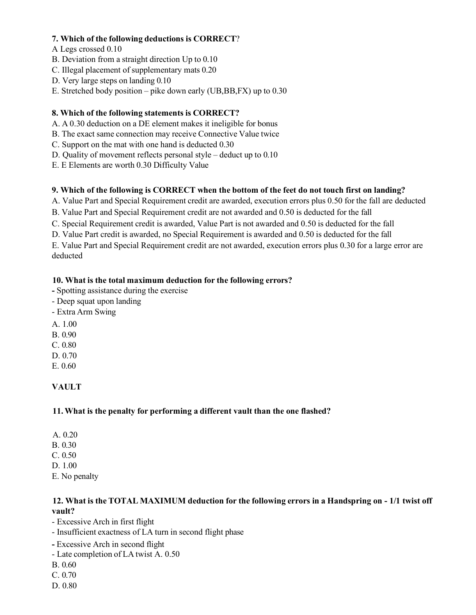#### **7. Which of the following deductions is CORRECT**?

A Legs crossed 0.10

- B. Deviation from a straight direction Up to 0.10
- C. Illegal placement of supplementary mats 0.20
- D. Very large steps on landing 0.10
- E. Stretched body position pike down early (UB,BB,FX) up to 0.30

### **8. Which of the following statements is CORRECT?**

- A. A 0.30 deduction on a DE element makes it ineligible for bonus
- B. The exact same connection may receive Connective Value twice
- C. Support on the mat with one hand is deducted 0.30
- D. Quality of movement reflects personal style deduct up to 0.10
- E. E Elements are worth 0.30 Difficulty Value

### **9. Which of the following is CORRECT when the bottom of the feet do not touch first on landing?**

- A. Value Part and Special Requirement credit are awarded, execution errors plus 0.50 for the fall are deducted
- B. Value Part and Special Requirement credit are not awarded and 0.50 is deducted for the fall
- C. Special Requirement credit is awarded, Value Part is not awarded and 0.50 is deducted for the fall
- D. Value Part credit is awarded, no Special Requirement is awarded and 0.50 is deducted for the fall

E. Value Part and Special Requirement credit are not awarded, execution errors plus 0.30 for a large error are deducted

#### **10. What is the total maximum deduction for the following errors?**

- **-** Spotting assistance during the exercise
- Deep squat upon landing
- Extra Arm Swing
- A. 1.00
- B. 0.90
- C. 0.80
- D. 0.70
- E. 0.60

# **VAULT**

### **11.What is the penalty for performing a different vault than the one flashed?**

- A. 0.20 B. 0.30
- C. 0.50
- D. 1.00
- E. No penalty

#### **12. What is the TOTAL MAXIMUM deduction for the following errors in a Handspring on - 1/1 twist off vault?**

- Excessive Arch in first flight
- Insufficient exactness of LA turn in second flight phase
- **-** Excessive Arch in second flight
- Late completion of LA twist A. 0.50
- B. 0.60
- C. 0.70
- D. 0.80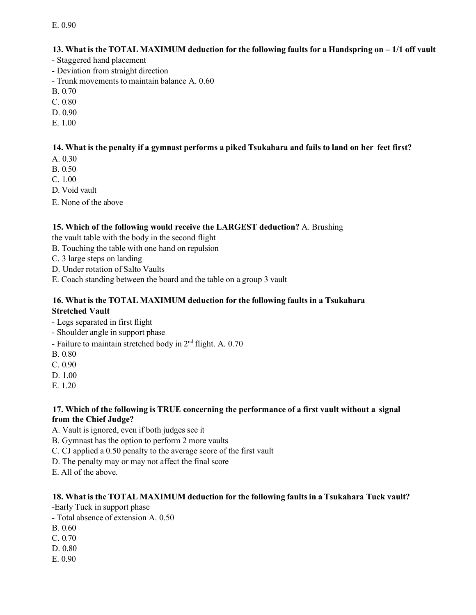#### **13. What is the TOTAL MAXIMUM deduction for the following faults for a Handspring on – 1/1 off vault**

- Staggered hand placement
- Deviation from straight direction
- Trunk movements to maintain balance A. 0.60
- B. 0.70
- C. 0.80
- D. 0.90
- E. 1.00

### 14. What is the penalty if a gymnast performs a piked Tsukahara and fails to land on her feet first?

- A. 0.30
- B. 0.50
- C. 1.00
- D. Void vault
- E. None of the above

#### **15. Which of the following would receive the LARGEST deduction?** A. Brushing

the vault table with the body in the second flight

- B. Touching the table with one hand on repulsion
- C. 3 large steps on landing
- D. Under rotation of Salto Vaults
- E. Coach standing between the board and the table on a group 3 vault

#### **16. What is the TOTAL MAXIMUM deduction for the following faults in a Tsukahara Stretched Vault**

- Legs separated in first flight
- Shoulder angle in support phase
- Failure to maintain stretched body in  $2<sup>nd</sup>$  flight. A. 0.70
- B. 0.80
- C. 0.90
- D. 1.00
- E. 1.20

#### **17. Which of the following is TRUE concerning the performance of a first vault without a signal from the Chief Judge?**

- A. Vault is ignored, even if both judges see it
- B. Gymnast has the option to perform 2 more vaults
- C. CJ applied a 0.50 penalty to the average score of the first vault
- D. The penalty may or may not affect the final score
- E. All of the above.

#### **18. What is the TOTAL MAXIMUM deduction for the following faults in a Tsukahara Tuck vault?**

-Early Tuck in support phase

- Total absence of extension A. 0.50
- B. 0.60
- C. 0.70
- D. 0.80
- E. 0.90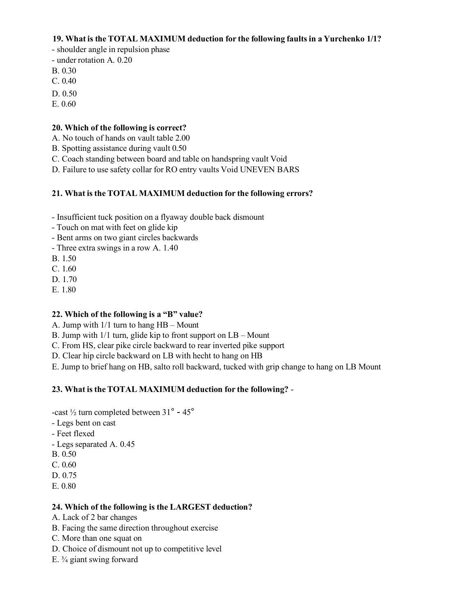#### **19. What is the TOTAL MAXIMUM deduction for the following faults in a Yurchenko 1/1?**

- shoulder angle in repulsion phase
- under rotation A. 0.20
- B. 0.30
- C. 0.40
- D. 0.50
- E. 0.60

#### **20. Which of the following is correct?**

- A. No touch of hands on vault table 2.00
- B. Spotting assistance during vault 0.50
- C. Coach standing between board and table on handspring vault Void
- D. Failure to use safety collar for RO entry vaults Void UNEVEN BARS

#### **21. What is the TOTAL MAXIMUM deduction for the following errors?**

- Insufficient tuck position on a flyaway double back dismount
- Touch on mat with feet on glide kip
- Bent arms on two giant circles backwards
- Three extra swings in a row A. 1.40
- B. 1.50
- C. 1.60
- D. 1.70
- E. 1.80

#### **22. Which of the following is a "B" value?**

- A. Jump with 1/1 turn to hang HB Mount
- B. Jump with 1/1 turn, glide kip to front support on LB Mount
- C. From HS, clear pike circle backward to rear inverted pike support
- D. Clear hip circle backward on LB with hecht to hang on HB
- E. Jump to brief hang on HB, salto roll backward, tucked with grip change to hang on LB Mount

#### **23. What is theTOTAL MAXIMUM deduction for the following?** -

-cast ½ turn completed between 31° - 45°

- Legs bent on cast
- Feet flexed
- Legs separated A. 0.45
- B. 0.50
- C. 0.60
- D. 0.75
- E. 0.80

#### **24. Which of the following is the LARGEST deduction?**

- A. Lack of 2 bar changes
- B. Facing the same direction throughout exercise
- C. More than one squat on
- D. Choice of dismount not up to competitive level
- E. ¾ giant swing forward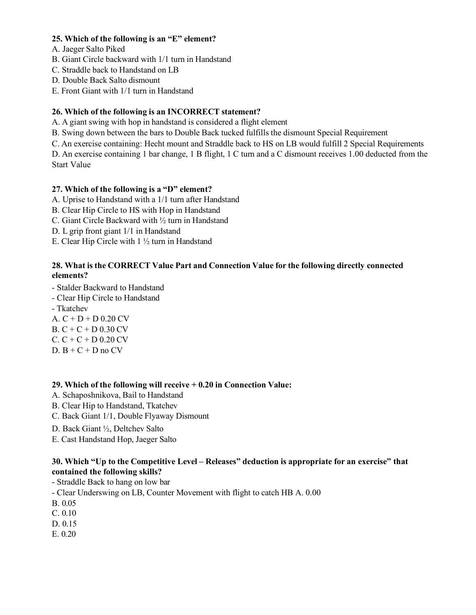#### **25. Which of the following is an "E" element?**

- A. Jaeger Salto Piked
- B. Giant Circle backward with 1/1 turn in Handstand
- C. Straddle back to Handstand on LB
- D. Double Back Salto dismount
- E. Front Giant with 1/1 turn in Handstand

#### **26. Which of the following is an INCORRECT statement?**

- A. A giant swing with hop in handstand is considered a flight element
- B. Swing down between the bars to Double Back tucked fulfills the dismount Special Requirement
- C. An exercise containing: Hecht mount and Straddle back to HS on LB would fulfill 2 Special Requirements

D. An exercise containing 1 bar change, 1 B flight, 1 C turn and a C dismount receives 1.00 deducted from the Start Value

#### **27. Which of the following is a "D" element?**

- A. Uprise to Handstand with a 1/1 turn after Handstand
- B. Clear Hip Circle to HS with Hop in Handstand
- C. Giant Circle Backward with ½ turn in Handstand
- D. L grip front giant 1/1 in Handstand
- E. Clear Hip Circle with 1 ½ turn in Handstand

#### **28. What is the CORRECT Value Part and Connection Value for the following directly connected elements?**

- Stalder Backward to Handstand
- Clear Hip Circle to Handstand
- Tkatchev

A.  $C + D + D 0.20$  CV B. C + C + D 0.30 CV  $C. C + C + D 0.20 CV$ D.  $B + C + D$  no  $CV$ 

#### **29. Which of the following will receive + 0.20 in Connection Value:**

- A. Schaposhnikova, Bail to Handstand
- B. Clear Hip to Handstand, Tkatchev
- C. Back Giant 1/1, Double Flyaway Dismount
- D. Back Giant ½, Deltchev Salto
- E. Cast Handstand Hop, Jaeger Salto

#### **30. Which "Up to the Competitive Level – Releases" deduction is appropriate for an exercise" that contained the following skills?**

- Straddle Back to hang on low bar

- Clear Underswing on LB, Counter Movement with flight to catch HB A. 0.00

B. 0.05

C. 0.10

- D. 0.15
- E. 0.20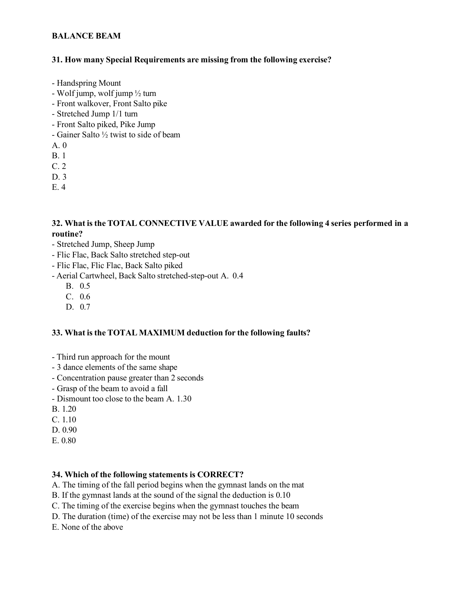#### **BALANCE BEAM**

#### **31. How many Special Requirements are missing from the following exercise?**

- Handspring Mount
- Wolf jump, wolf jump ½ turn
- Front walkover, Front Salto pike
- Stretched Jump 1/1 turn
- Front Salto piked, Pike Jump
- Gainer Salto ½ twist to side of beam
- A. 0
- B. 1
- C. 2
- D. 3
- E. 4

#### **32. What is the TOTAL CONNECTIVE VALUE awarded for the following 4 series performed in a routine?**

- Stretched Jump, Sheep Jump
- Flic Flac, Back Salto stretched step-out
- Flic Flac, Flic Flac, Back Salto piked
- Aerial Cartwheel, Back Salto stretched-step-out A. 0.4
	- B. 0.5
	- C. 0.6
	- D. 0.7

#### **33. What is the TOTAL MAXIMUM deduction for the following faults?**

- Third run approach for the mount
- 3 dance elements of the same shape
- Concentration pause greater than 2 seconds
- Grasp of the beam to avoid a fall
- Dismount too close to the beam A. 1.30
- B. 1.20
- C. 1.10
- D. 0.90
- E. 0.80

#### **34. Which of the following statements is CORRECT?**

- A. The timing of the fall period begins when the gymnast lands on the mat
- B. If the gymnast lands at the sound of the signal the deduction is 0.10
- C. The timing of the exercise begins when the gymnast touches the beam
- D. The duration (time) of the exercise may not be less than 1 minute 10 seconds
- E. None of the above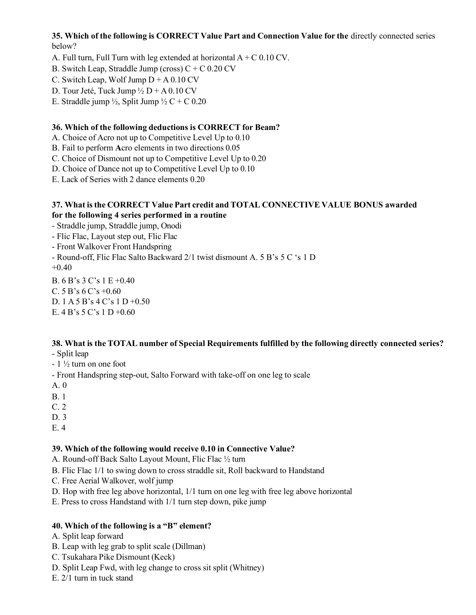**35. Which of the following is CORRECT Value Part and Connection Value for the** directly connected series below?

A. Full turn, Full Turn with leg extended at horizontal  $A + C 0.10$  CV.

B. Switch Leap, Straddle Jump (cross)  $C + C$  0.20 CV

C. Switch Leap, Wolf Jump  $D + A 0.10$  CV

D. Tour Jeté, Tuck Jump  $\frac{1}{2} D + A 0.10 CV$ 

E. Straddle jump  $\frac{1}{2}$ , Split Jump  $\frac{1}{2}$  C + C 0.20

#### **36. Which of the following deductions is CORRECT for Beam?**

A. Choice of Acro not up to Competitive Level Up to 0.10

B. Fail to perform **A**cro elements in two directions 0.05

C. Choice of Dismount not up to Competitive Level Up to 0.20

D. Choice of Dance not up to Competitive Level Up to 0.10

E. Lack of Series with 2 dance elements 0.20

#### **37. What isthe CORRECT Value Part credit and TOTAL CONNECTIVE VALUE BONUS awarded for the following 4 series performed in a routine**

- Straddle jump, Straddle jump, Onodi

- Flic Flac, Layout step out, Flic Flac

- Front Walkover Front Handspring

- Round-off, Flic Flac Salto Backward 2/1 twist dismount A. 5 B's 5 C 's 1 D  $+0.40$ 

B. 6 B's 3 C's 1 E +0.40 C.  $5 B's 6 C's +0.60$ D. 1 A 5 B's 4 C's 1 D +0.50 E. 4 B's 5 C's 1 D +0.60

# **38. What is the TOTAL number of Special Requirements fulfilled by the following directly connected series?**

- Split leap

 $-1\frac{1}{2}$  turn on one foot

- Front Handspring step-out, Salto Forward with take-off on one leg to scale

A. 0

B. 1

C. 2

D. 3

E. 4

#### **39. Which of the following would receive 0.10 in Connective Value?**

A. Round-off Back Salto Layout Mount, Flic Flac ½ turn

B. Flic Flac 1/1 to swing down to cross straddle sit, Roll backward to Handstand

C. Free Aerial Walkover, wolf jump

D. Hop with free leg above horizontal, 1/1 turn on one leg with free leg above horizontal

E. Press to cross Handstand with 1/1 turn step down, pike jump

#### **40. Which of the following is a "B" element?**

A. Split leap forward

- B. Leap with leg grab to split scale (Dillman)
- C. Tsukahara Pike Dismount (Keck)
- D. Split Leap Fwd, with leg change to cross sit split (Whitney)
- E. 2/1 turn in tuck stand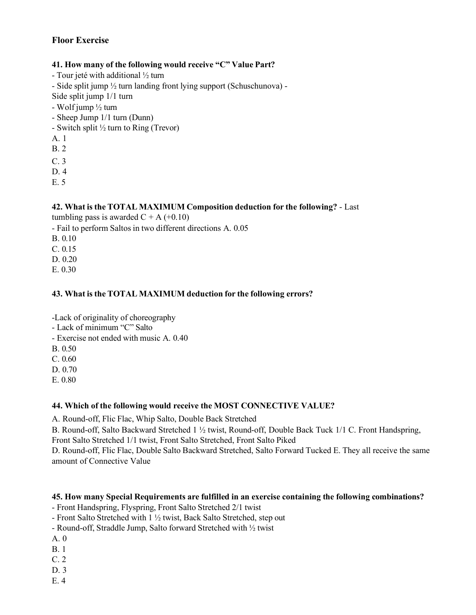### **Floor Exercise**

#### **41. How many of the following would receive "C" Value Part?**

- Tour jeté with additional ½ turn

- Side split jump ½ turn landing front lying support (Schuschunova) -

Side split jump 1/1 turn

- Wolf jump ½ turn

- Sheep Jump 1/1 turn (Dunn)

- Switch split  $\frac{1}{2}$  turn to Ring (Trevor)

A. 1

B. 2

C. 3

D. 4

E. 5

#### **42. What is the TOTAL MAXIMUM Composition deduction for the following?** - Last

tumbling pass is awarded  $C + A (+0.10)$ 

- Fail to perform Saltos in two different directions A. 0.05

B. 0.10

C. 0.15

D. 0.20

E. 0.30

#### **43. What is the TOTAL MAXIMUM deduction for the following errors?**

-Lack of originality of choreography

- Lack of minimum "C" Salto

- Exercise not ended with music A. 0.40

B. 0.50

C. 0.60

D. 0.70

E. 0.80

### **44. Which of the following would receive the MOST CONNECTIVE VALUE?**

A. Round-off, Flic Flac, Whip Salto, Double Back Stretched

B. Round-off, Salto Backward Stretched 1 ½ twist, Round-off, Double Back Tuck 1/1 C. Front Handspring,

Front Salto Stretched 1/1 twist, Front Salto Stretched, Front Salto Piked

D. Round-off, Flic Flac, Double Salto Backward Stretched, Salto Forward Tucked E. They all receive the same amount of Connective Value

### **45. How many Special Requirements are fulfilled in an exercise containing the following combinations?**

- Front Handspring, Flyspring, Front Salto Stretched 2/1 twist

- Front Salto Stretched with 1 ½ twist, Back Salto Stretched, step out

- Round-off, Straddle Jump, Salto forward Stretched with ½ twist

A. 0

B. 1

C. 2

D. 3

E. 4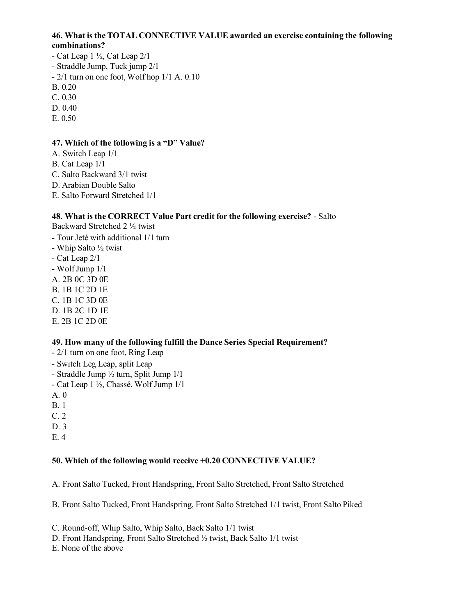#### **46. What isthe TOTAL CONNECTIVE VALUE awarded an exercise containing the following combinations?**

- Cat Leap  $1\frac{1}{2}$ , Cat Leap  $2/1$ - Straddle Jump, Tuck jump 2/1 - 2/1 turn on one foot, Wolf hop 1/1 A. 0.10 B. 0.20 C. 0.30 D. 0.40 E. 0.50

#### **47. Which of the following is a "D" Value?**

- A. Switch Leap 1/1
- B. Cat Leap 1/1
- C. Salto Backward 3/1 twist
- D. Arabian Double Salto
- E. Salto Forward Stretched 1/1

### **48. What is the CORRECT Value Part credit for the following exercise?** - Salto

Backward Stretched 2 ½ twist

- Tour Jeté with additional 1/1 turn - Whip Salto ½ twist - Cat Leap 2/1 - WolfJump 1/1 A. 2B 0C 3D 0E
- B. 1B 1C 2D 1E
- C. 1B 1C 3D 0E
- D. 1B 2C 1D 1E E. 2B 1C 2D 0E

# **49. How many of the following fulfill the Dance Series Special Requirement?**

- 2/1 turn on one foot, Ring Leap - Switch Leg Leap, split Leap - Straddle Jump ½ turn, Split Jump 1/1 - Cat Leap 1 ½, Chassé, Wolf Jump 1/1 A. 0 B. 1
- C. 2
- D. 3 E. 4

# **50. Which of the following would receive +0.20 CONNECTIVE VALUE?**

A. Front Salto Tucked, Front Handspring, Front Salto Stretched, Front Salto Stretched

B. Front Salto Tucked, Front Handspring, Front Salto Stretched 1/1 twist, Front Salto Piked

C. Round-off, Whip Salto, Whip Salto, Back Salto 1/1 twist

D. Front Handspring, Front Salto Stretched ½ twist, Back Salto 1/1 twist

E. None of the above